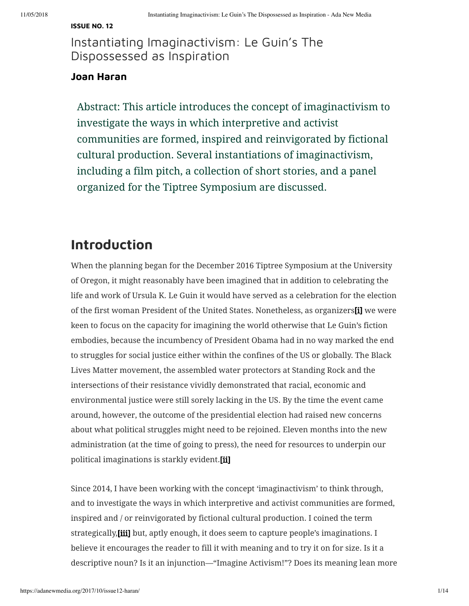### **[ISSUE](https://adanewmedia.org/category/issue-no-12/) NO. 12**

Instantiating Imaginactivism: Le Guin's The Dispossessed as Inspiration

### **Joan [Haran](https://adanewmedia.org/author/joanharan2)**

Abstract: This article introduces the concept of imaginactivism to investigate the ways in which interpretive and activist communities are formed, inspired and reinvigorated by fictional cultural production. Several instantiations of imaginactivism, including a film pitch, a collection of short stories, and a panel organized for the Tiptree Symposium are discussed.

### **Introduction**

<span id="page-0-0"></span>When the planning began for the December 2016 Tiptree Symposium at the University of Oregon, it might reasonably have been imagined that in addition to celebrating the life and work of Ursula K. Le Guin it would have served as a celebration for the election of the first woman President of the United States. Nonetheless, as organizers[\[i\]](#page-11-0) we were keen to focus on the capacity for imagining the world otherwise that Le Guin's fiction embodies, because the incumbency of President Obama had in no way marked the end to struggles for social justice either within the confines of the US or globally. The Black Lives Matter movement, the assembled water protectors at Standing Rock and the intersections of their resistance vividly demonstrated that racial, economic and environmental justice were still sorely lacking in the US. By the time the event came around, however, the outcome of the presidential election had raised new concerns about what political struggles might need to be rejoined. Eleven months into the new administration (at the time of going to press), the need for resources to underpin our political imaginations is starkly evident[.\[ii\]](#page-11-1)

<span id="page-0-2"></span><span id="page-0-1"></span>Since 2014, I have been working with the concept 'imaginactivism' to think through, and to investigate the ways in which interpretive and activist communities are formed, inspired and / or reinvigorated by fictional cultural production. I coined the term strategically, [iii] but, aptly enough, it does seem to capture people's imaginations. I believe it encourages the reader to fill it with meaning and to try it on for size. Is it a descriptive noun? Is it an injunction—"Imagine Activism!"? Does its meaning lean more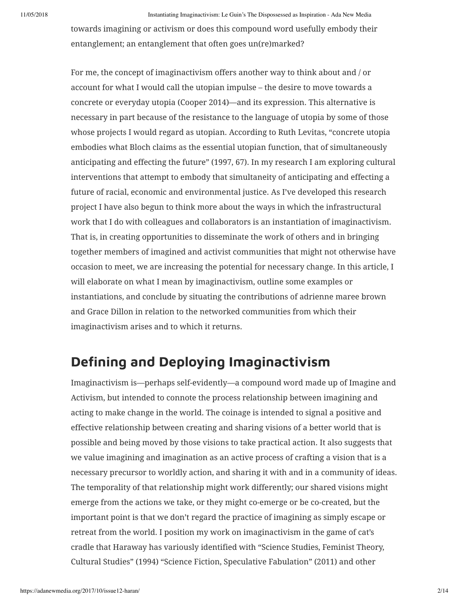towards imagining or activism or does this compound word usefully embody their entanglement; an entanglement that often goes un(re)marked?

For me, the concept of imaginactivism offers another way to think about and / or account for what I would call the utopian impulse – the desire to move towards a concrete or everyday utopia (Cooper 2014)—and its expression. This alternative is necessary in part because of the resistance to the language of utopia by some of those whose projects I would regard as utopian. According to Ruth Levitas, "concrete utopia embodies what Bloch claims as the essential utopian function, that of simultaneously anticipating and effecting the future" (1997, 67). In my research I am exploring cultural interventions that attempt to embody that simultaneity of anticipating and effecting a future of racial, economic and environmental justice. As I've developed this research project I have also begun to think more about the ways in which the infrastructural work that I do with colleagues and collaborators is an instantiation of imaginactivism. That is, in creating opportunities to disseminate the work of others and in bringing together members of imagined and activist communities that might not otherwise have occasion to meet, we are increasing the potential for necessary change. In this article, I will elaborate on what I mean by imaginactivism, outline some examples or instantiations, and conclude by situating the contributions of adrienne maree brown and Grace Dillon in relation to the networked communities from which their imaginactivism arises and to which it returns.

### **Defining and Deploying Imaginactivism**

Imaginactivism is—perhaps self-evidently—a compound word made up of Imagine and Activism, but intended to connote the process relationship between imagining and acting to make change in the world. The coinage is intended to signal a positive and effective relationship between creating and sharing visions of a better world that is possible and being moved by those visions to take practical action. It also suggests that we value imagining and imagination as an active process of crafting a vision that is a necessary precursor to worldly action, and sharing it with and in a community of ideas. The temporality of that relationship might work differently; our shared visions might emerge from the actions we take, or they might co-emerge or be co-created, but the important point is that we don't regard the practice of imagining as simply escape or retreat from the world. I position my work on imaginactivism in the game of cat's cradle that Haraway has variously identified with "Science Studies, Feminist Theory, Cultural Studies" (1994) "Science Fiction, Speculative Fabulation" (2011) and other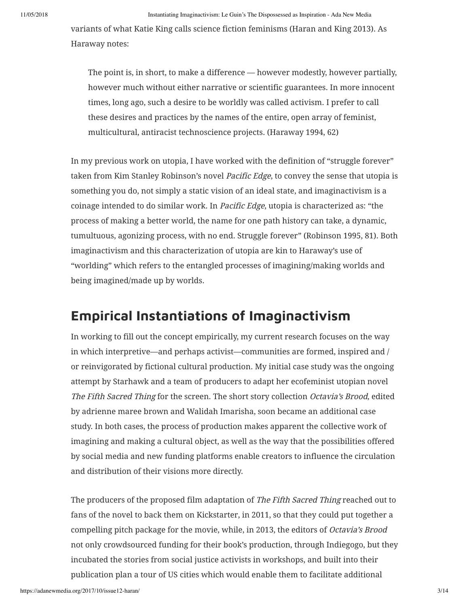variants of what Katie King calls science fiction feminisms (Haran and King 2013). As Haraway notes:

The point is, in short, to make a difference — however modestly, however partially, however much without either narrative or scientific guarantees. In more innocent times, long ago, such a desire to be worldly was called activism. I prefer to call these desires and practices by the names of the entire, open array of feminist, multicultural, antiracist technoscience projects. (Haraway 1994, 62)

In my previous work on utopia, I have worked with the definition of "struggle forever" taken from Kim Stanley Robinson's novel Pacific Edge, to convey the sense that utopia is something you do, not simply a static vision of an ideal state, and imaginactivism is a coinage intended to do similar work. In Pacific Edge, utopia is characterized as: "the process of making a better world, the name for one path history can take, a dynamic, tumultuous, agonizing process, with no end. Struggle forever" (Robinson 1995, 81). Both imaginactivism and this characterization of utopia are kin to Haraway's use of "worlding" which refers to the entangled processes of imagining/making worlds and being imagined/made up by worlds.

### **Empirical Instantiations of Imaginactivism**

In working to fill out the concept empirically, my current research focuses on the way in which interpretive—and perhaps activist—communities are formed, inspired and / or reinvigorated by fictional cultural production. My initial case study was the ongoing attempt by Starhawk and a team of producers to adapt her ecofeminist utopian novel The Fifth Sacred Thing for the screen. The short story collection Octavia's Brood, edited by adrienne maree brown and Walidah Imarisha, soon became an additional case study. In both cases, the process of production makes apparent the collective work of imagining and making a cultural object, as well as the way that the possibilities offered by social media and new funding platforms enable creators to influence the circulation and distribution of their visions more directly.

The producers of the proposed film adaptation of The Fifth Sacred Thing reached out to fans of the novel to back them on Kickstarter, in 2011, so that they could put together a compelling pitch package for the movie, while, in 2013, the editors of Octavia's Brood not only crowdsourced funding for their book's production, through Indiegogo, but they incubated the stories from social justice activists in workshops, and built into their publication plan a tour of US cities which would enable them to facilitate additional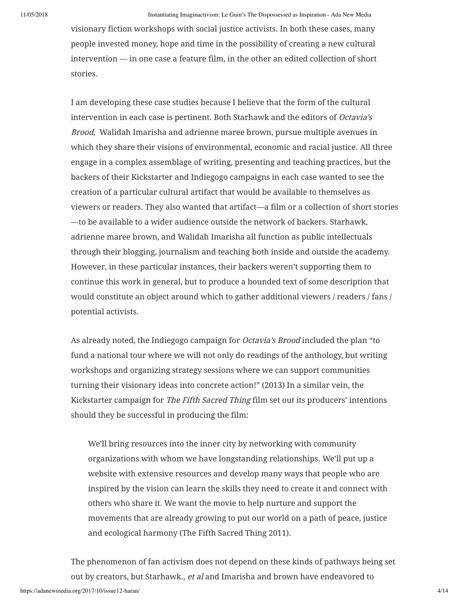visionary fiction workshops with social justice activists. In both these cases, many people invested money, hope and time in the possibility of creating a new cultural intervention — in one case a feature film, in the other an edited collection of short stories.

I am developing these case studies because I believe that the form of the cultural intervention in each case is pertinent. Both Starhawk and the editors of Octavia's Brood, Walidah Imarisha and adrienne maree brown, pursue multiple avenues in which they share their visions of environmental, economic and racial justice. All three engage in a complex assemblage of writing, presenting and teaching practices, but the backers of their Kickstarter and Indiegogo campaigns in each case wanted to see the creation of a particular cultural artifact that would be available to themselves as viewers or readers. They also wanted that artifact—a film or a collection of short stories —to be available to a wider audience outside the network of backers. Starhawk, adrienne maree brown, and Walidah Imarisha all function as public intellectuals through their blogging, journalism and teaching both inside and outside the academy. However, in these particular instances, their backers weren't supporting them to continue this work in general, but to produce a bounded text of some description that would constitute an object around which to gather additional viewers / readers / fans / potential activists.

As already noted, the Indiegogo campaign for *Octavia's Brood* included the plan "to fund a national tour where we will not only do readings of the anthology, but writing workshops and organizing strategy sessions where we can support communities turning their visionary ideas into concrete action!" (2013) In a similar vein, the Kickstarter campaign for The Fifth Sacred Thing film set out its producers' intentions should they be successful in producing the film:

We'll bring resources into the inner city by networking with community organizations with whom we have longstanding relationships. We'll put up a website with extensive resources and develop many ways that people who are inspired by the vision can learn the skills they need to create it and connect with others who share it. We want the movie to help nurture and support the movements that are already growing to put our world on a path of peace, justice and ecological harmony (The Fifth Sacred Thing 2011).

The phenomenon of fan activism does not depend on these kinds of pathways being set out by creators, but Starhawk., et al and Imarisha and brown have endeavored to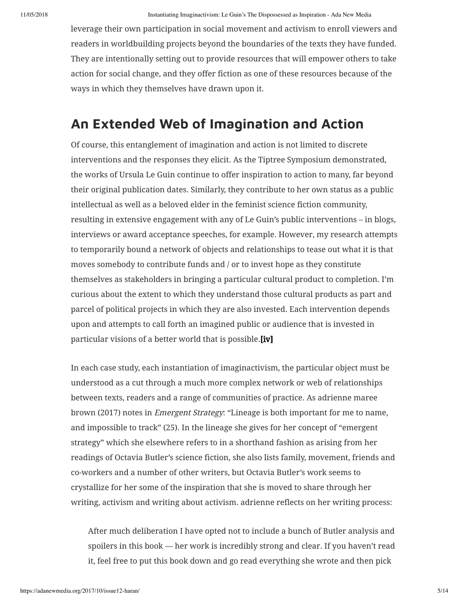leverage their own participation in social movement and activism to enroll viewers and readers in worldbuilding projects beyond the boundaries of the texts they have funded. They are intentionally setting out to provide resources that will empower others to take action for social change, and they offer fiction as one of these resources because of the ways in which they themselves have drawn upon it.

## **An Extended Web of Imagination and Action**

Of course, this entanglement of imagination and action is not limited to discrete interventions and the responses they elicit. As the Tiptree Symposium demonstrated, the works of Ursula Le Guin continue to offer inspiration to action to many, far beyond their original publication dates. Similarly, they contribute to her own status as a public intellectual as well as a beloved elder in the feminist science fiction community, resulting in extensive engagement with any of Le Guin's public interventions – in blogs, interviews or award acceptance speeches, for example. However, my research attempts to temporarily bound a network of objects and relationships to tease out what it is that moves somebody to contribute funds and / or to invest hope as they constitute themselves as stakeholders in bringing a particular cultural product to completion. I'm curious about the extent to which they understand those cultural products as part and parcel of political projects in which they are also invested. Each intervention depends upon and attempts to call forth an imagined public or audience that is invested in particular visions of a better world that is possible[.\[iv\]](#page-11-3)

<span id="page-4-0"></span>In each case study, each instantiation of imaginactivism, the particular object must be understood as a cut through a much more complex network or web of relationships between texts, readers and a range of communities of practice. As adrienne maree brown (2017) notes in Emergent Strategy: "Lineage is both important for me to name, and impossible to track" (25). In the lineage she gives for her concept of "emergent strategy" which she elsewhere refers to in a shorthand fashion as arising from her readings of Octavia Butler's science fiction, she also lists family, movement, friends and co-workers and a number of other writers, but Octavia Butler's work seems to crystallize for her some of the inspiration that she is moved to share through her writing, activism and writing about activism. adrienne reflects on her writing process:

After much deliberation I have opted not to include a bunch of Butler analysis and spoilers in this book — her work is incredibly strong and clear. If you haven't read it, feel free to put this book down and go read everything she wrote and then pick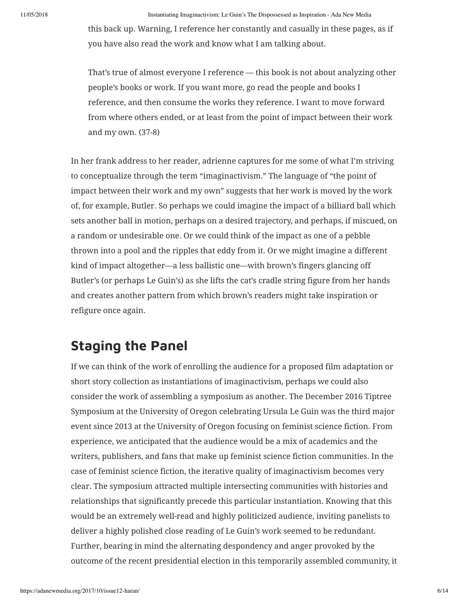this back up. Warning, I reference her constantly and casually in these pages, as if you have also read the work and know what I am talking about.

That's true of almost everyone I reference — this book is not about analyzing other people's books or work. If you want more, go read the people and books I reference, and then consume the works they reference. I want to move forward from where others ended, or at least from the point of impact between their work and my own. (37-8)

In her frank address to her reader, adrienne captures for me some of what I'm striving to conceptualize through the term "imaginactivism." The language of "the point of impact between their work and my own" suggests that her work is moved by the work of, for example, Butler. So perhaps we could imagine the impact of a billiard ball which sets another ball in motion, perhaps on a desired trajectory, and perhaps, if miscued, on a random or undesirable one. Or we could think of the impact as one of a pebble thrown into a pool and the ripples that eddy from it. Or we might imagine a different kind of impact altogether—a less ballistic one—with brown's fingers glancing off Butler's (or perhaps Le Guin's) as she lifts the cat's cradle string figure from her hands and creates another pattern from which brown's readers might take inspiration or refigure once again.

## **Staging the Panel**

If we can think of the work of enrolling the audience for a proposed film adaptation or short story collection as instantiations of imaginactivism, perhaps we could also consider the work of assembling a symposium as another. The December 2016 Tiptree Symposium at the University of Oregon celebrating Ursula Le Guin was the third major event since 2013 at the University of Oregon focusing on feminist science fiction. From experience, we anticipated that the audience would be a mix of academics and the writers, publishers, and fans that make up feminist science fiction communities. In the case of feminist science fiction, the iterative quality of imaginactivism becomes very clear. The symposium attracted multiple intersecting communities with histories and relationships that significantly precede this particular instantiation. Knowing that this would be an extremely well-read and highly politicized audience, inviting panelists to deliver a highly polished close reading of Le Guin's work seemed to be redundant. Further, bearing in mind the alternating despondency and anger provoked by the outcome of the recent presidential election in this temporarily assembled community, it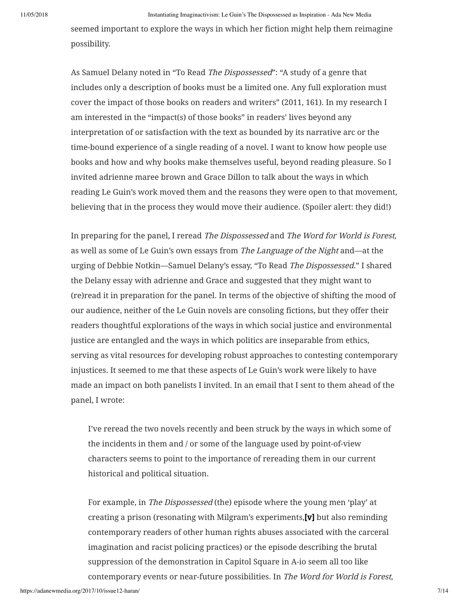seemed important to explore the ways in which her fiction might help them reimagine possibility.

As Samuel Delany noted in "To Read *The Dispossessed*": "A study of a genre that includes only a description of books must be a limited one. Any full exploration must cover the impact of those books on readers and writers" (2011, 161). In my research I am interested in the "impact(s) of those books" in readers' lives beyond any interpretation of or satisfaction with the text as bounded by its narrative arc or the time-bound experience of a single reading of a novel. I want to know how people use books and how and why books make themselves useful, beyond reading pleasure. So I invited adrienne maree brown and Grace Dillon to talk about the ways in which reading Le Guin's work moved them and the reasons they were open to that movement, believing that in the process they would move their audience. (Spoiler alert: they did!)

In preparing for the panel, I reread The Dispossessed and The Word for World is Forest, as well as some of Le Guin's own essays from The Language of the Night and—at the urging of Debbie Notkin—Samuel Delany's essay, "To Read The Dispossessed." I shared the Delany essay with adrienne and Grace and suggested that they might want to (re)read it in preparation for the panel. In terms of the objective of shifting the mood of our audience, neither of the Le Guin novels are consoling fictions, but they offer their readers thoughtful explorations of the ways in which social justice and environmental justice are entangled and the ways in which politics are inseparable from ethics, serving as vital resources for developing robust approaches to contesting contemporary injustices. It seemed to me that these aspects of Le Guin's work were likely to have made an impact on both panelists I invited. In an email that I sent to them ahead of the panel, I wrote:

I've reread the two novels recently and been struck by the ways in which some of the incidents in them and / or some of the language used by point-of-view characters seems to point to the importance of rereading them in our current historical and political situation.

For example, in The Dispossessed (the) episode where the young men 'play' at creating a prison (resonating with Milgram's experiments[,\[v\]](#page-12-0) but also reminding contemporary readers of other human rights abuses associated with the carceral imagination and racist policing practices) or the episode describing the brutal suppression of the demonstration in Capitol Square in A-io seem all too like contemporary events or near-future possibilities. In The Word for World is Forest,

<span id="page-6-0"></span>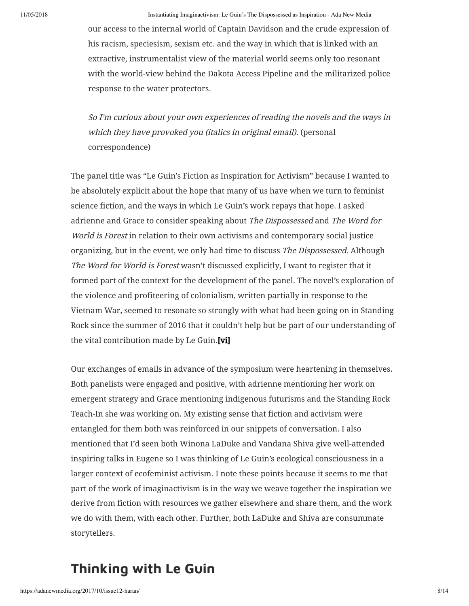our access to the internal world of Captain Davidson and the crude expression of his racism, speciesism, sexism etc. and the way in which that is linked with an extractive, instrumentalist view of the material world seems only too resonant with the world-view behind the Dakota Access Pipeline and the militarized police response to the water protectors.

So I'm curious about your own experiences of reading the novels and the ways in which they have provoked you (italics in original email). (personal correspondence)

The panel title was "Le Guin's Fiction as Inspiration for Activism" because I wanted to be absolutely explicit about the hope that many of us have when we turn to feminist science fiction, and the ways in which Le Guin's work repays that hope. I asked adrienne and Grace to consider speaking about The Dispossessed and The Word for World is Forest in relation to their own activisms and contemporary social justice organizing, but in the event, we only had time to discuss The Dispossessed. Although The Word for World is Forest wasn't discussed explicitly, I want to register that it formed part of the context for the development of the panel. The novel's exploration of the violence and profiteering of colonialism, written partially in response to the Vietnam War, seemed to resonate so strongly with what had been going on in Standing Rock since the summer of 2016 that it couldn't help but be part of our understanding of the vital contribution made by Le Guin.<sup>[vi]</sup>

Our exchanges of emails in advance of the symposium were heartening in themselves. Both panelists were engaged and positive, with adrienne mentioning her work on emergent strategy and Grace mentioning indigenous futurisms and the Standing Rock Teach-In she was working on. My existing sense that fiction and activism were entangled for them both was reinforced in our snippets of conversation. I also mentioned that I'd seen both Winona LaDuke and Vandana Shiva give well-attended inspiring talks in Eugene so I was thinking of Le Guin's ecological consciousness in a larger context of ecofeminist activism. I note these points because it seems to me that part of the work of imaginactivism is in the way we weave together the inspiration we derive from fiction with resources we gather elsewhere and share them, and the work we do with them, with each other. Further, both LaDuke and Shiva are consummate storytellers.

## **Thinking with Le Guin**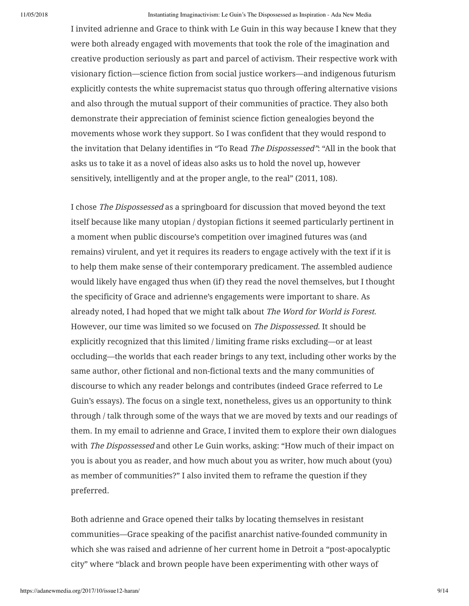I invited adrienne and Grace to think with Le Guin in this way because I knew that they were both already engaged with movements that took the role of the imagination and creative production seriously as part and parcel of activism. Their respective work with visionary fiction—science fiction from social justice workers—and indigenous futurism explicitly contests the white supremacist status quo through offering alternative visions and also through the mutual support of their communities of practice. They also both demonstrate their appreciation of feminist science fiction genealogies beyond the movements whose work they support. So I was confident that they would respond to the invitation that Delany identifies in "To Read The Dispossessed": "All in the book that asks us to take it as a novel of ideas also asks us to hold the novel up, however sensitively, intelligently and at the proper angle, to the real" (2011, 108).

I chose The Dispossessed as a springboard for discussion that moved beyond the text itself because like many utopian / dystopian fictions it seemed particularly pertinent in a moment when public discourse's competition over imagined futures was (and remains) virulent, and yet it requires its readers to engage actively with the text if it is to help them make sense of their contemporary predicament. The assembled audience would likely have engaged thus when (if) they read the novel themselves, but I thought the specificity of Grace and adrienne's engagements were important to share. As already noted, I had hoped that we might talk about The Word for World is Forest. However, our time was limited so we focused on The Dispossessed. It should be explicitly recognized that this limited / limiting frame risks excluding—or at least occluding—the worlds that each reader brings to any text, including other works by the same author, other fictional and non-fictional texts and the many communities of discourse to which any reader belongs and contributes (indeed Grace referred to Le Guin's essays). The focus on a single text, nonetheless, gives us an opportunity to think through / talk through some of the ways that we are moved by texts and our readings of them. In my email to adrienne and Grace, I invited them to explore their own dialogues with The Dispossessed and other Le Guin works, asking: "How much of their impact on you is about you as reader, and how much about you as writer, how much about (you) as member of communities?" I also invited them to reframe the question if they preferred.

Both adrienne and Grace opened their talks by locating themselves in resistant communities—Grace speaking of the pacifist anarchist native-founded community in which she was raised and adrienne of her current home in Detroit a "post-apocalyptic city" where "black and brown people have been experimenting with other ways of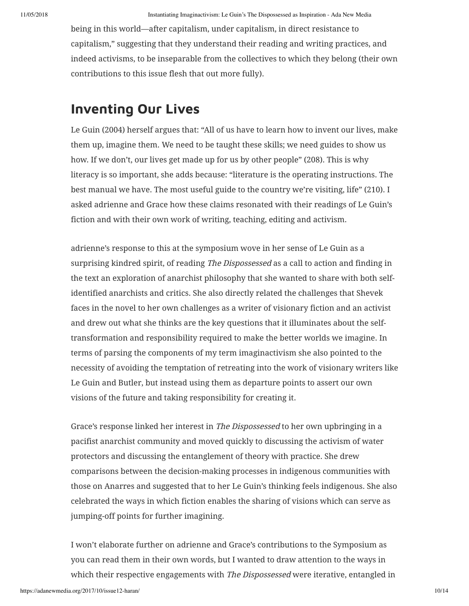being in this world—after capitalism, under capitalism, in direct resistance to capitalism," suggesting that they understand their reading and writing practices, and indeed activisms, to be inseparable from the collectives to which they belong (their own contributions to this issue flesh that out more fully).

# **Inventing Our Lives**

Le Guin (2004) herself argues that: "All of us have to learn how to invent our lives, make them up, imagine them. We need to be taught these skills; we need guides to show us how. If we don't, our lives get made up for us by other people" (208). This is why literacy is so important, she adds because: "literature is the operating instructions. The best manual we have. The most useful guide to the country we're visiting, life" (210). I asked adrienne and Grace how these claims resonated with their readings of Le Guin's fiction and with their own work of writing, teaching, editing and activism.

adrienne's response to this at the symposium wove in her sense of Le Guin as a surprising kindred spirit, of reading The Dispossessed as a call to action and finding in the text an exploration of anarchist philosophy that she wanted to share with both selfidentified anarchists and critics. She also directly related the challenges that Shevek faces in the novel to her own challenges as a writer of visionary fiction and an activist and drew out what she thinks are the key questions that it illuminates about the selftransformation and responsibility required to make the better worlds we imagine. In terms of parsing the components of my term imaginactivism she also pointed to the necessity of avoiding the temptation of retreating into the work of visionary writers like Le Guin and Butler, but instead using them as departure points to assert our own visions of the future and taking responsibility for creating it.

Grace's response linked her interest in The Dispossessed to her own upbringing in a pacifist anarchist community and moved quickly to discussing the activism of water protectors and discussing the entanglement of theory with practice. She drew comparisons between the decision-making processes in indigenous communities with those on Anarres and suggested that to her Le Guin's thinking feels indigenous. She also celebrated the ways in which fiction enables the sharing of visions which can serve as jumping-off points for further imagining.

I won't elaborate further on adrienne and Grace's contributions to the Symposium as you can read them in their own words, but I wanted to draw attention to the ways in which their respective engagements with *The Dispossessed* were iterative, entangled in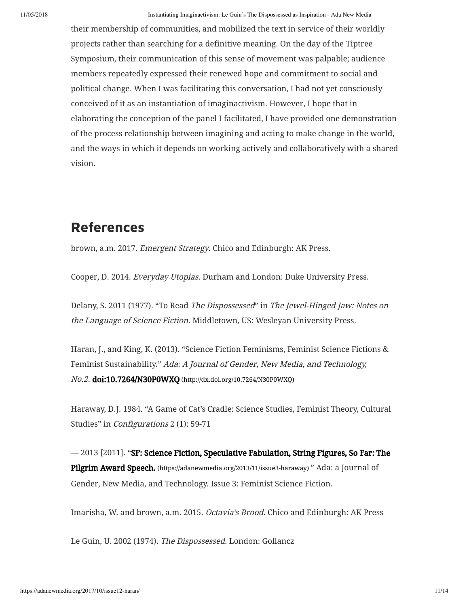their membership of communities, and mobilized the text in service of their worldly projects rather than searching for a definitive meaning. On the day of the Tiptree Symposium, their communication of this sense of movement was palpable; audience members repeatedly expressed their renewed hope and commitment to social and political change. When I was facilitating this conversation, I had not yet consciously conceived of it as an instantiation of imaginactivism. However, I hope that in elaborating the conception of the panel I facilitated, I have provided one demonstration of the process relationship between imagining and acting to make change in the world, and the ways in which it depends on working actively and collaboratively with a shared vision.

## **References**

brown, a.m. 2017. Emergent Strategy. Chico and Edinburgh: AK Press.

Cooper, D. 2014. Everyday Utopias. Durham and London: Duke University Press.

Delany, S. 2011 (1977). "To Read The Dispossessed" in The Jewel-Hinged Jaw: Notes on the Language of Science Fiction. Middletown, US: Wesleyan University Press.

Haran, J., and King, K. (2013). "Science Fiction Feminisms, Feminist Science Fictions & Feminist Sustainability." Ada: A Journal of Gender, New Media, and Technology, No.2. doi:10.7264/N30P0WXQ [\(http://dx.doi.org/10.7264/N30P0WXQ\)](http://dx.doi.org/10.7264/N30P0WXQ)

Haraway, D.J. 1984. "A Game of Cat's Cradle: Science Studies, Feminist Theory, Cultural Studies" in Configurations 2 (1): 59-71

— 2013 [2011]. ["SF: Science Fiction, Speculative Fabulation, String Figures, So Far: The](https://adanewmedia.org/2013/11/issue3-haraway) Pilgrim Award Speech. (https://adanewmedia.org/2013/11/issue3-haraway) " Ada: a Journal of Gender, New Media, and Technology. Issue 3: Feminist Science Fiction.

Imarisha, W. and brown, a.m. 2015. Octavia's Brood. Chico and Edinburgh: AK Press

Le Guin, U. 2002 (1974). The Dispossessed. London: Gollancz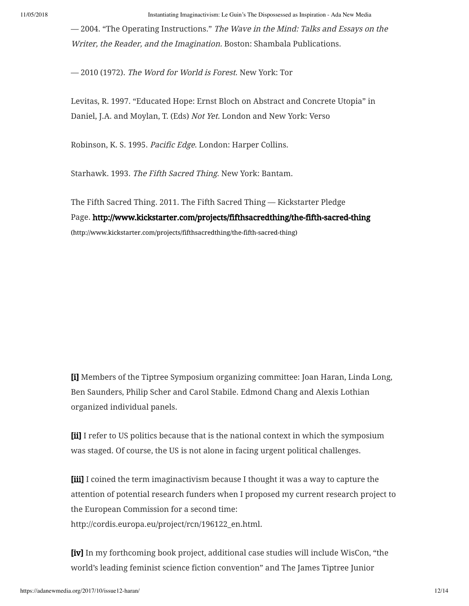— 2004. "The Operating Instructions." The Wave in the Mind: Talks and Essays on the Writer, the Reader, and the Imagination. Boston: Shambala Publications.

— 2010 (1972). The Word for World is Forest. New York: Tor

Levitas, R. 1997. "Educated Hope: Ernst Bloch on Abstract and Concrete Utopia" in Daniel, J.A. and Moylan, T. (Eds) Not Yet. London and New York: Verso

Robinson, K. S. 1995. Pacific Edge. London: Harper Collins.

Starhawk. 1993. The Fifth Sacred Thing. New York: Bantam.

The Fifth Sacred Thing. 2011. The Fifth Sacred Thing — Kickstarter Pledge Page. <http://www.kickstarter.com/projects/fifthsacredthing/the-fifth-sacred-thing> (http://www.kickstarter.com/projects/fifthsacredthing/the-fifth-sacred-thing)

<span id="page-11-0"></span>[\[i\]](#page-0-0) Members of the Tiptree Symposium organizing committee: Joan Haran, Linda Long, Ben Saunders, Philip Scher and Carol Stabile. Edmond Chang and Alexis Lothian organized individual panels.

<span id="page-11-1"></span>[\[ii\]](#page-0-1) I refer to US politics because that is the national context in which the symposium was staged. Of course, the US is not alone in facing urgent political challenges.

<span id="page-11-2"></span>[\[iii\]](#page-0-2) I coined the term imaginactivism because I thought it was a way to capture the attention of potential research funders when I proposed my current research project to the European Commission for a second time:

http://cordis.europa.eu/project/rcn/196122\_en.html.

<span id="page-11-3"></span>[\[iv\]](#page-4-0) In my forthcoming book project, additional case studies will include WisCon, "the world's leading feminist science fiction convention" and The James Tiptree Junior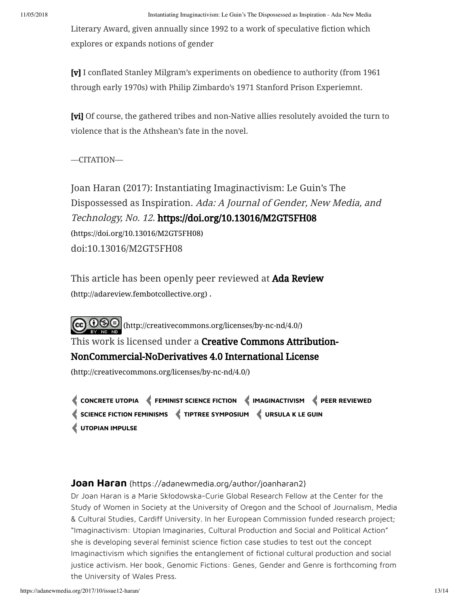Literary Award, given annually since 1992 to a work of speculative fiction which explores or expands notions of gender

<span id="page-12-0"></span>[\[v\]](#page-6-0) I conflated Stanley Milgram's experiments on obedience to authority (from 1961 through early 1970s) with Philip Zimbardo's 1971 Stanford Prison Experiemnt.

[\[vi\]](#page-6-0) Of course, the gathered tribes and non-Native allies resolutely avoided the turn to violence that is the Athshean's fate in the novel.

### —CITATION—

Joan Haran (2017): Instantiating Imaginactivism: Le Guin's The Dispossessed as Inspiration. Ada: A Journal of Gender, New Media, and Technology, No. 12[. https://doi.org/10.13016/M2GT5FH08](https://doi.org/10.13016/M2GT5FH08) (https://doi.org/10.13016/M2GT5FH08) doi:10.13016/M2GT5FH08

This article has been openly peer reviewed at **Ada Review** (http://adareview.fembotcollective.org) .

[\(http://creativecommons.org/licenses/by-nc-nd/4.0/\)](http://creativecommons.org/licenses/by-nc-nd/4.0/) This work is licensed under a **Creative Commons Attribution-**NonCommercial-NoDerivatives 4.0 International License (http://creativecommons.org/licenses/by-nc-nd/4.0/)

**[CONCRETE](https://adanewmedia.org/tag/concrete-utopia/) UTOPIA [FEMINIST](https://adanewmedia.org/tag/feminist-science-fiction/) SCIENCE FICTION [IMAGINACTIVISM](https://adanewmedia.org/tag/imaginactivism/) PEER [REVIEWED](https://adanewmedia.org/tag/peer-reviewed/) SCIENCE FICTION [FEMINISMS](https://adanewmedia.org/tag/science-fiction-feminisms/) TIPTREE [SYMPOSIUM](https://adanewmedia.org/tag/tiptree-symposium/) [URSULA](https://adanewmedia.org/tag/ursula-k-le-guin/) K LE GUIN [UTOPIAN](https://adanewmedia.org/tag/utopian-impulse/) IMPULSE**

### **Joan Haran** [\(https://adanewmedia.org/author/joanharan2\)](https://adanewmedia.org/author/joanharan2)

Dr Joan Haran is a Marie Skłodowska-Curie Global Research Fellow at the Center for the Study of Women in Society at the University of Oregon and the School of Journalism, Media & Cultural Studies, Cardiff University. In her European Commission funded research project; "Imaginactivism: Utopian Imaginaries, Cultural Production and Social and Political Action" she is developing several feminist science fiction case studies to test out the concept Imaginactivism which signifies the entanglement of fictional cultural production and social justice activism. Her book, Genomic Fictions: Genes, Gender and Genre is forthcoming from the University of Wales Press.